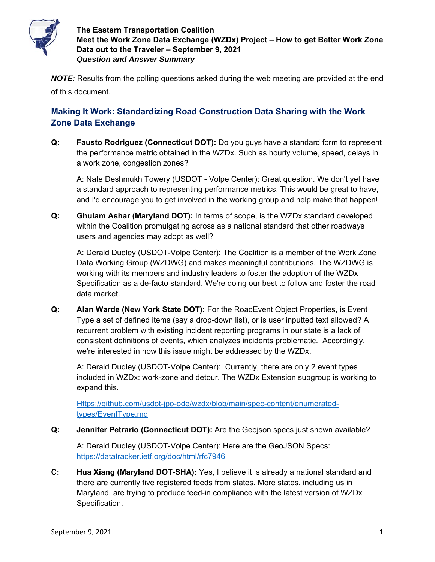

*NOTE:* Results from the polling questions asked during the web meeting are provided at the end of this document.

## **Making It Work: Standardizing Road Construction Data Sharing with the Work Zone Data Exchange**

**Q: Fausto Rodriguez (Connecticut DOT):** Do you guys have a standard form to represent the performance metric obtained in the WZDx. Such as hourly volume, speed, delays in a work zone, congestion zones?

A: Nate Deshmukh Towery (USDOT - Volpe Center): Great question. We don't yet have a standard approach to representing performance metrics. This would be great to have, and I'd encourage you to get involved in the working group and help make that happen!

**Q: Ghulam Ashar (Maryland DOT):** In terms of scope, is the WZDx standard developed within the Coalition promulgating across as a national standard that other roadways users and agencies may adopt as well?

A: Derald Dudley (USDOT-Volpe Center): The Coalition is a member of the Work Zone Data Working Group (WZDWG) and makes meaningful contributions. The WZDWG is working with its members and industry leaders to foster the adoption of the WZDx Specification as a de-facto standard. We're doing our best to follow and foster the road data market.

**Q: Alan Warde (New York State DOT):** For the RoadEvent Object Properties, is Event Type a set of defined items (say a drop-down list), or is user inputted text allowed? A recurrent problem with existing incident reporting programs in our state is a lack of consistent definitions of events, which analyzes incidents problematic. Accordingly, we're interested in how this issue might be addressed by the WZDx.

A: Derald Dudley (USDOT-Volpe Center): Currently, there are only 2 event types included in WZDx: work-zone and detour. The WZDx Extension subgroup is working to expand this.

Https://github.com/usdot-jpo-ode/wzdx/blob/main/spec-content/enumeratedtypes/EventType.md

**Q: Jennifer Petrario (Connecticut DOT):** Are the Geojson specs just shown available?

A: Derald Dudley (USDOT-Volpe Center): Here are the GeoJSON Specs: https://datatracker.ietf.org/doc/html/rfc7946

**C: Hua Xiang (Maryland DOT-SHA):** Yes, I believe it is already a national standard and there are currently five registered feeds from states. More states, including us in Maryland, are trying to produce feed-in compliance with the latest version of WZDx Specification.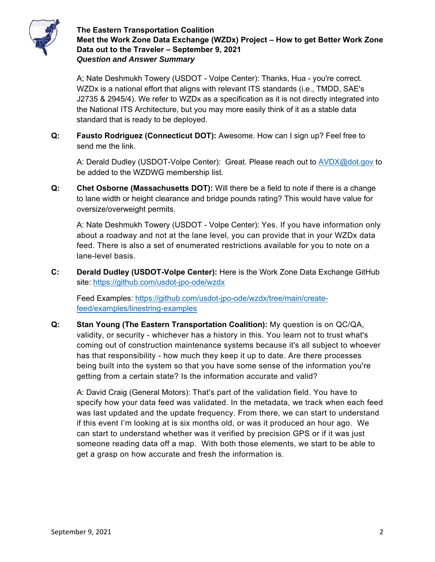

A; Nate Deshmukh Towery (USDOT - Volpe Center): Thanks, Hua - you're correct. WZDx is a national effort that aligns with relevant ITS standards (i.e., TMDD, SAE's J2735 & 2945/4). We refer to WZDx as a specification as it is not directly integrated into the National ITS Architecture, but you may more easily think of it as a stable data standard that is ready to be deployed.

**Q: Fausto Rodriguez (Connecticut DOT):** Awesome. How can I sign up? Feel free to send me the link.

A: Derald Dudley (USDOT-Volpe Center): Great. Please reach out to AVDX@dot.gov to be added to the WZDWG membership list.

**Q: Chet Osborne (Massachusetts DOT):** Will there be a field to note if there is a change to lane width or height clearance and bridge pounds rating? This would have value for oversize/overweight permits.

A: Nate Deshmukh Towery (USDOT - Volpe Center): Yes. If you have information only about a roadway and not at the lane level, you can provide that in your WZDx data feed. There is also a set of enumerated restrictions available for you to note on a lane-level basis.

**C: Derald Dudley (USDOT-Volpe Center):** Here is the Work Zone Data Exchange GitHub site: https://github.com/usdot-jpo-ode/wzdx

Feed Examples: https://github.com/usdot-jpo-ode/wzdx/tree/main/createfeed/examples/linestring-examples

**Q: Stan Young (The Eastern Transportation Coalition):** My question is on QC/QA, validity, or security - whichever has a history in this. You learn not to trust what's coming out of construction maintenance systems because it's all subject to whoever has that responsibility - how much they keep it up to date. Are there processes being built into the system so that you have some sense of the information you're getting from a certain state? Is the information accurate and valid?

A: David Craig (General Motors): That's part of the validation field. You have to specify how your data feed was validated. In the metadata, we track when each feed was last updated and the update frequency. From there, we can start to understand if this event I'm looking at is six months old, or was it produced an hour ago. We can start to understand whether was it verified by precision GPS or if it was just someone reading data off a map. With both those elements, we start to be able to get a grasp on how accurate and fresh the information is.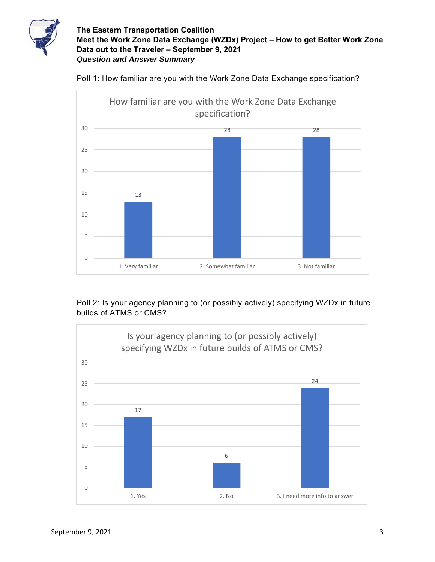



Poll 1: How familiar are you with the Work Zone Data Exchange specification?

Poll 2: Is your agency planning to (or possibly actively) specifying WZDx in future builds of ATMS or CMS?